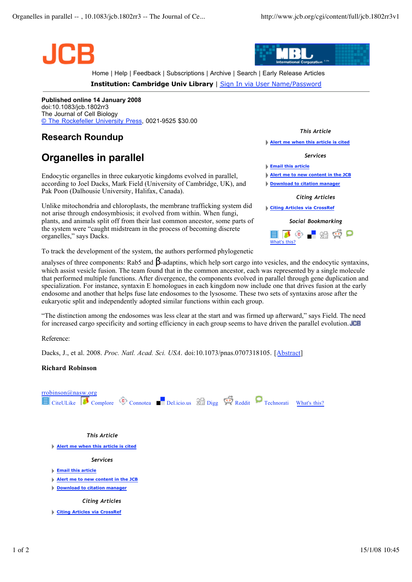



Home | Help | Feedback | Subscriptions | Archive | Search | Early Release Articles

**Institution: Cambridge Univ Library** | Sign In via User Name/Password

**Published online 14 January 2008** doi:10.1083/jcb.1802rr3 The Journal of Cell Biology © The Rockefeller University Press, 0021-9525 \$30.00

## **Research Roundup**

## **Organelles in parallel**

Endocytic organelles in three eukaryotic kingdoms evolved in parallel, according to Joel Dacks, Mark Field (University of Cambridge, UK), and Pak Poon (Dalhousie University, Halifax, Canada).

Unlike mitochondria and chloroplasts, the membrane trafficking system did not arise through endosymbiosis; it evolved from within. When fungi, plants, and animals split off from their last common ancestor, some parts of the system were "caught midstream in the process of becoming discrete organelles," says Dacks.

To track the development of the system, the authors performed phylogenetic

*This Article*

**Alert me when this article is cited**

*Services*

**Email this article**

What's this?

**Alert me to new content in the JCB**

**Download to citation manager**

## *Citing Articles*

**Citing Articles via CrossRef**



analyses of three components: Rab5 and  $\beta$ -adaptins, which help sort cargo into vesicles, and the endocytic syntaxins, which assist vesicle fusion. The team found that in the common ancestor, each was represented by a single molecule that performed multiple functions. After divergence, the components evolved in parallel through gene duplication and specialization. For instance, syntaxin E homologues in each kingdom now include one that drives fusion at the early endosome and another that helps fuse late endosomes to the lysosome. These two sets of syntaxins arose after the eukaryotic split and independently adopted similar functions within each group.

"The distinction among the endosomes was less clear at the start and was firmed up afterward," says Field. The need for increased cargo specificity and sorting efficiency in each group seems to have driven the parallel evolution. **JCB** 

Reference:

Dacks, J., et al. 2008. *Proc. Natl. Acad. Sci. USA*. doi:10.1073/pnas.0707318105. [Abstract]

## **Richard Robinson**